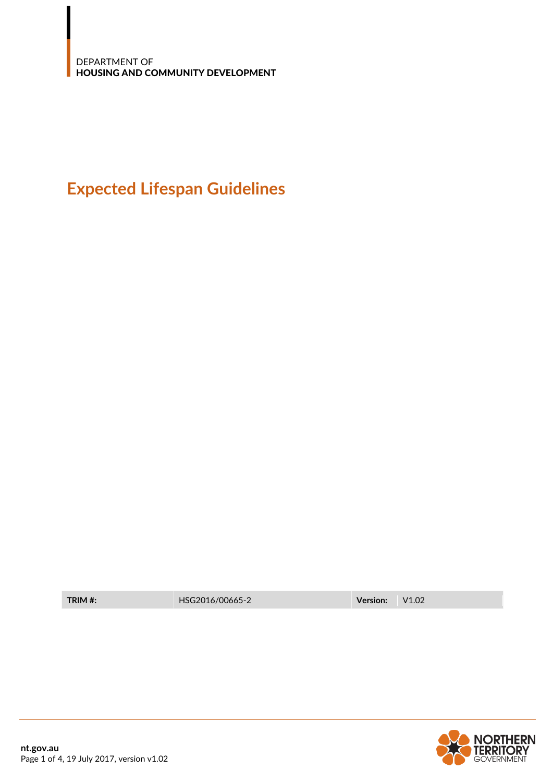## **Expected Lifespan Guidelines**

**TRIM #:** HSG2016/00665-2 **Version:** V1.02

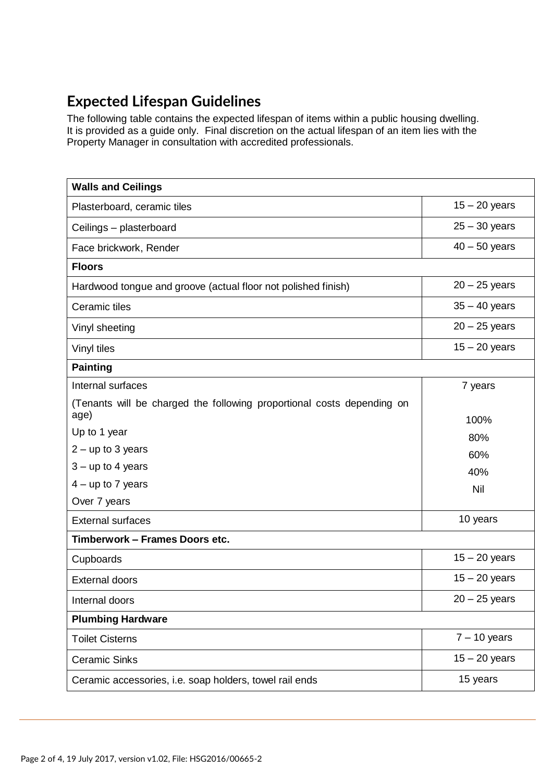## **Expected Lifespan Guidelines**

The following table contains the expected lifespan of items within a public housing dwelling. It is provided as a guide only. Final discretion on the actual lifespan of an item lies with the Property Manager in consultation with accredited professionals.

| <b>Walls and Ceilings</b>                                                      |                 |
|--------------------------------------------------------------------------------|-----------------|
| Plasterboard, ceramic tiles                                                    | $15 - 20$ years |
| Ceilings - plasterboard                                                        | $25 - 30$ years |
| Face brickwork, Render                                                         | $40 - 50$ years |
| <b>Floors</b>                                                                  |                 |
| Hardwood tongue and groove (actual floor not polished finish)                  | $20 - 25$ years |
| Ceramic tiles                                                                  | $35 - 40$ years |
| Vinyl sheeting                                                                 | $20 - 25$ years |
| Vinyl tiles                                                                    | $15 - 20$ years |
| <b>Painting</b>                                                                |                 |
| Internal surfaces                                                              | 7 years         |
| (Tenants will be charged the following proportional costs depending on<br>age) | 100%            |
| Up to 1 year                                                                   | 80%             |
| $2 - up to 3 years$                                                            | 60%             |
| $3 - up to 4 years$                                                            | 40%             |
| $4 - up to 7 years$                                                            | Nil             |
| Over 7 years                                                                   |                 |
| <b>External surfaces</b>                                                       | 10 years        |
| Timberwork - Frames Doors etc.                                                 |                 |
| Cupboards                                                                      | $15 - 20$ years |
| <b>External doors</b>                                                          | $15 - 20$ years |
| Internal doors                                                                 | $20 - 25$ years |
| <b>Plumbing Hardware</b>                                                       |                 |
| <b>Toilet Cisterns</b>                                                         | $7 - 10$ years  |
| <b>Ceramic Sinks</b>                                                           | $15 - 20$ years |
| Ceramic accessories, i.e. soap holders, towel rail ends                        | 15 years        |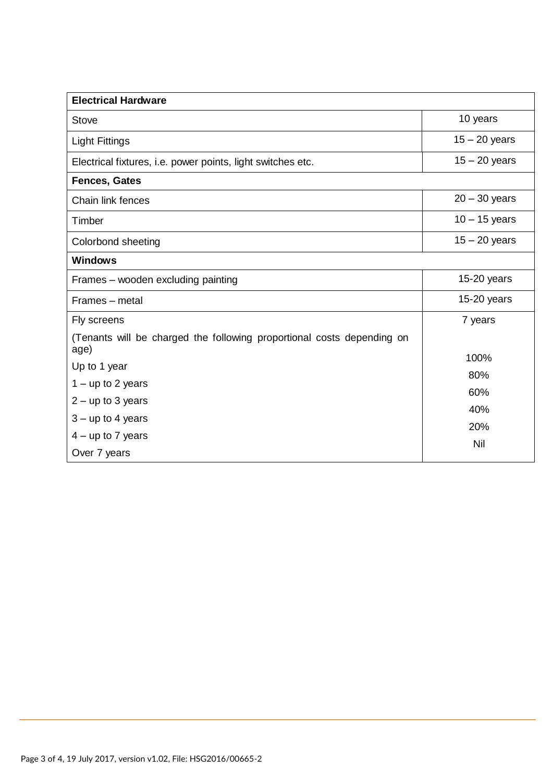| <b>Electrical Hardware</b>                                             |                 |  |
|------------------------------------------------------------------------|-----------------|--|
| <b>Stove</b>                                                           | 10 years        |  |
| <b>Light Fittings</b>                                                  | $15 - 20$ years |  |
| Electrical fixtures, i.e. power points, light switches etc.            | $15 - 20$ years |  |
| <b>Fences, Gates</b>                                                   |                 |  |
| Chain link fences                                                      | $20 - 30$ years |  |
| Timber                                                                 | $10 - 15$ years |  |
| Colorbond sheeting                                                     | $15 - 20$ years |  |
| <b>Windows</b>                                                         |                 |  |
| Frames - wooden excluding painting                                     | 15-20 years     |  |
| Frames – metal                                                         | $15-20$ years   |  |
| Fly screens                                                            | 7 years         |  |
| (Tenants will be charged the following proportional costs depending on |                 |  |
| age)                                                                   | 100%            |  |
| Up to 1 year                                                           | 80%             |  |
| $1 - up to 2 years$                                                    | 60%             |  |
| $2 - up to 3 years$                                                    | 40%             |  |
| $3 - up to 4 years$                                                    | 20%             |  |
| $4 - up to 7 years$                                                    | Nil             |  |
| Over 7 years                                                           |                 |  |